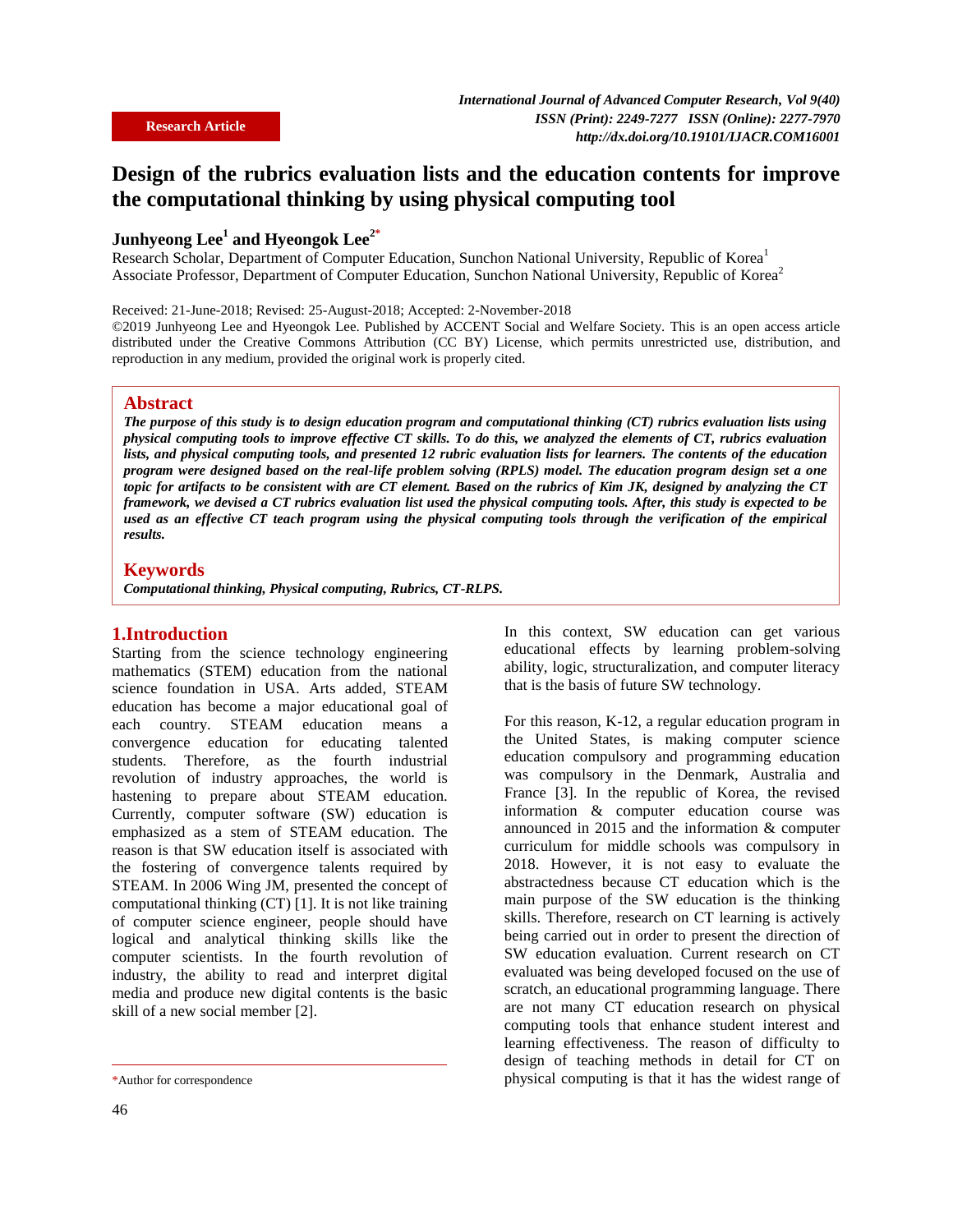# **Design of the rubrics evaluation lists and the education contents for improve the computational thinking by using physical computing tool**

## **Junhyeong Lee<sup>1</sup> and Hyeongok Lee2\***

Research Scholar, Department of Computer Education, Sunchon National University, Republic of Korea<sup>1</sup> Associate Professor, Department of Computer Education, Sunchon National University, Republic of Korea<sup>2</sup>

Received: 21-June-2018; Revised: 25-August-2018; Accepted: 2-November-2018

©2019 Junhyeong Lee and Hyeongok Lee. Published by ACCENT Social and Welfare Society. This is an open access article distributed under the Creative Commons Attribution (CC BY) License, which permits unrestricted use, distribution, and reproduction in any medium, provided the original work is properly cited.

## **Abstract**

*The purpose of this study is to design education program and computational thinking (CT) rubrics evaluation lists using physical computing tools to improve effective CT skills. To do this, we analyzed the elements of CT, rubrics evaluation lists, and physical computing tools, and presented 12 rubric evaluation lists for learners. The contents of the education program were designed based on the real-life problem solving (RPLS) model. The education program design set a one topic for artifacts to be consistent with are CT element. Based on the rubrics of Kim JK, designed by analyzing the CT framework, we devised a CT rubrics evaluation list used the physical computing tools. After, this study is expected to be used as an effective CT teach program using the physical computing tools through the verification of the empirical results.*

#### **Keywords**

*Computational thinking, Physical computing, Rubrics, CT-RLPS.*

## **1.Introduction**

Starting from the science technology engineering mathematics (STEM) education from the national science foundation in USA. Arts added, STEAM education has become a major educational goal of each country. STEAM education means a convergence education for educating talented students. Therefore, as the fourth industrial revolution of industry approaches, the world is hastening to prepare about STEAM education. Currently, computer software (SW) education is emphasized as a stem of STEAM education. The reason is that SW education itself is associated with the fostering of convergence talents required by STEAM. In 2006 Wing JM, presented the concept of computational thinking (CT) [1]. It is not like training of computer science engineer, people should have logical and analytical thinking skills like the computer scientists. In the fourth revolution of industry, the ability to read and interpret digital media and produce new digital contents is the basic skill of a new social member [2].

In this context, SW education can get various educational effects by learning problem-solving ability, logic, structuralization, and computer literacy that is the basis of future SW technology.

For this reason, K-12, a regular education program in the United States, is making computer science education compulsory and programming education was compulsory in the Denmark, Australia and France [3]. In the republic of Korea, the revised information & computer education course was announced in 2015 and the information & computer curriculum for middle schools was compulsory in 2018. However, it is not easy to evaluate the abstractedness because CT education which is the main purpose of the SW education is the thinking skills. Therefore, research on CT learning is actively being carried out in order to present the direction of SW education evaluation. Current research on CT evaluated was being developed focused on the use of scratch, an educational programming language. There are not many CT education research on physical computing tools that enhance student interest and learning effectiveness. The reason of difficulty to design of teaching methods in detail for CT on physical computing is that it has the widest range of

<sup>\*</sup>Author for correspondence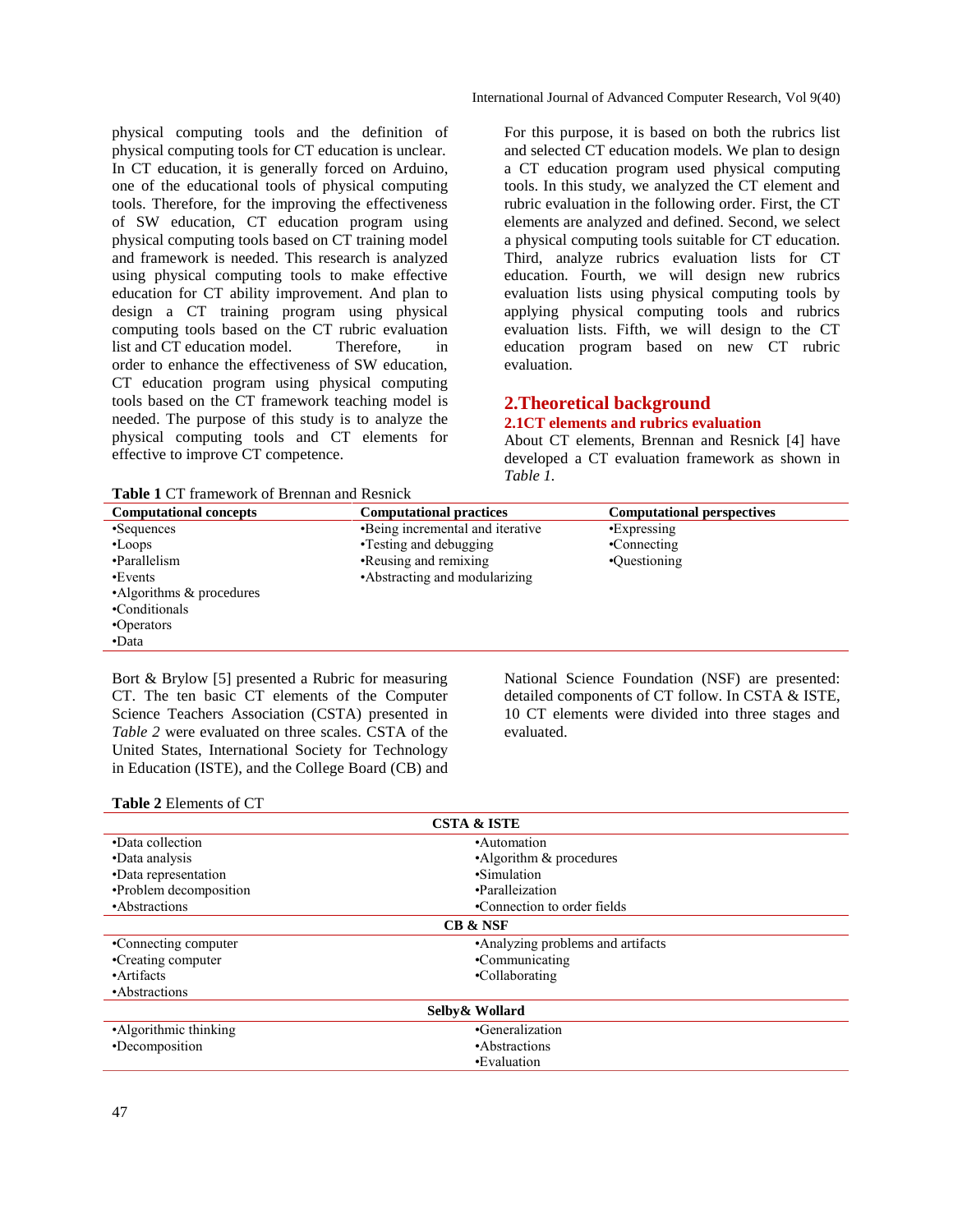physical computing tools and the definition of physical computing tools for CT education is unclear. In CT education, it is generally forced on Arduino, one of the educational tools of physical computing tools. Therefore, for the improving the effectiveness of SW education, CT education program using physical computing tools based on CT training model and framework is needed. This research is analyzed using physical computing tools to make effective education for CT ability improvement. And plan to design a CT training program using physical computing tools based on the CT rubric evaluation list and CT education model. Therefore, in order to enhance the effectiveness of SW education, CT education program using physical computing tools based on the CT framework teaching model is needed. The purpose of this study is to analyze the physical computing tools and CT elements for effective to improve CT competence.

**Table 1** CT framework of Brennan and Resnick

For this purpose, it is based on both the rubrics list and selected CT education models. We plan to design a CT education program used physical computing tools. In this study, we analyzed the CT element and rubric evaluation in the following order. First, the CT elements are analyzed and defined. Second, we select a physical computing tools suitable for CT education. Third, analyze rubrics evaluation lists for CT education. Fourth, we will design new rubrics evaluation lists using physical computing tools by applying physical computing tools and rubrics evaluation lists. Fifth, we will design to the CT education program based on new CT rubric evaluation.

## **2.Theoretical background**

## **2.1CT elements and rubrics evaluation**

About CT elements, Brennan and Resnick [4] have developed a CT evaluation framework as shown in *Table 1.*

| <b>Computational concepts</b> | <b>Computational practices</b>   | <b>Computational perspectives</b> |  |  |
|-------------------------------|----------------------------------|-----------------------------------|--|--|
| •Sequences                    | •Being incremental and iterative | •Expressing                       |  |  |
| $-L$ oops                     | • Testing and debugging          | •Connecting                       |  |  |
| •Parallelism                  | •Reusing and remixing            | •Questioning                      |  |  |
| •Events                       | • Abstracting and modularizing   |                                   |  |  |
| •Algorithms & procedures      |                                  |                                   |  |  |
| •Conditionals                 |                                  |                                   |  |  |
| •Operators                    |                                  |                                   |  |  |
| •Data                         |                                  |                                   |  |  |

Bort & Brylow [5] presented a Rubric for measuring CT. The ten basic CT elements of the Computer Science Teachers Association (CSTA) presented in *Table 2* were evaluated on three scales. CSTA of the United States, International Society for Technology in Education (ISTE), and the College Board (CB) and National Science Foundation (NSF) are presented: detailed components of CT follow. In CSTA & ISTE, 10 CT elements were divided into three stages and evaluated.

#### **Table 2** Elements of CT

| <b>CSTA &amp; ISTE</b> |                                   |  |
|------------------------|-----------------------------------|--|
| •Data collection       | •Automation                       |  |
| •Data analysis         | •Algorithm & procedures           |  |
| •Data representation   | •Simulation                       |  |
| •Problem decomposition | •Paralleization                   |  |
| •Abstractions          | •Connection to order fields       |  |
| <b>CB &amp; NSF</b>    |                                   |  |
| •Connecting computer   | •Analyzing problems and artifacts |  |
| •Creating computer     | •Communicating                    |  |
| •Artifacts             | •Collaborating                    |  |
| •Abstractions          |                                   |  |
| Selby& Wollard         |                                   |  |
| •Algorithmic thinking  | •Generalization                   |  |
| •Decomposition         | •Abstractions                     |  |
|                        | •Evaluation                       |  |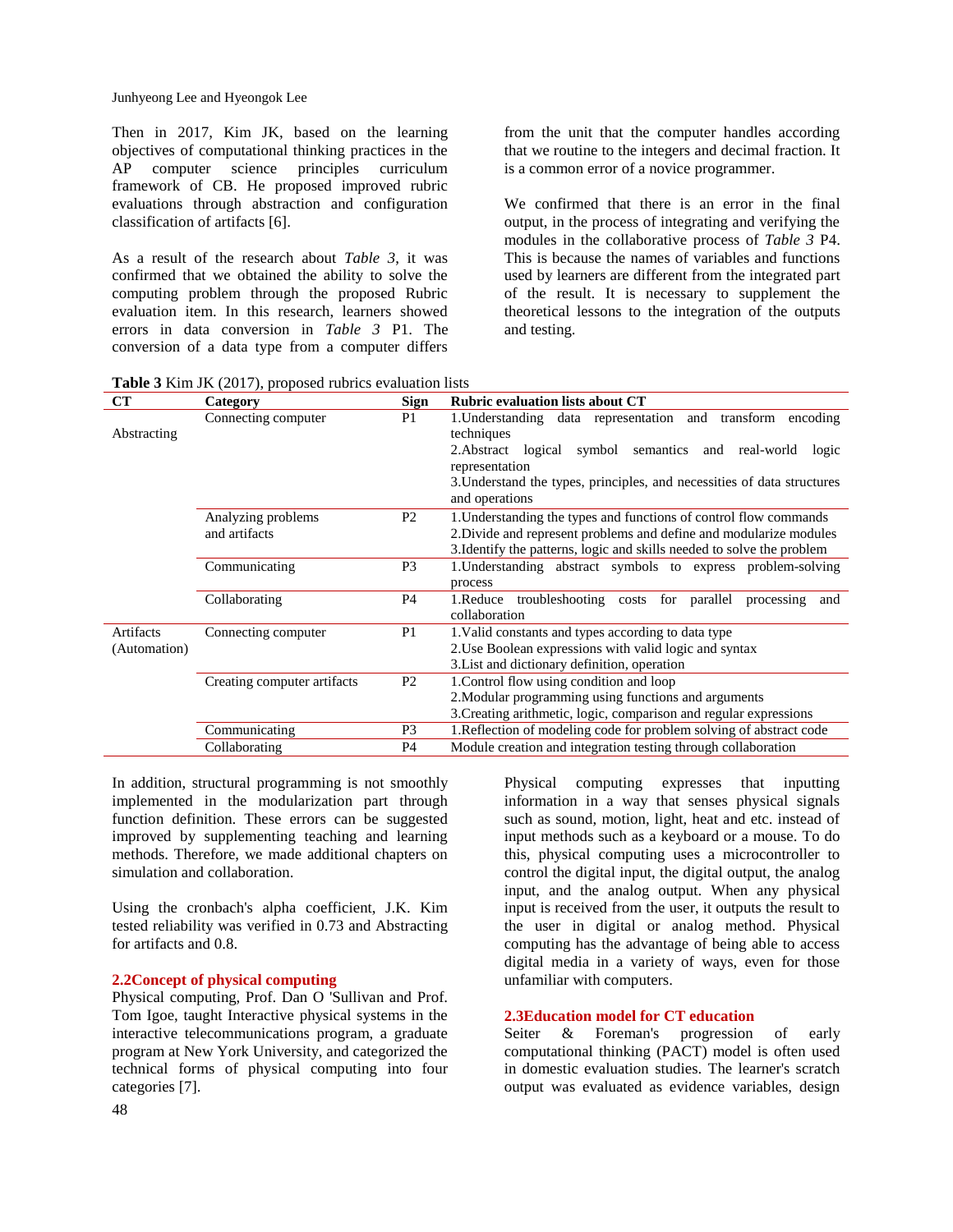Junhyeong Lee and Hyeongok Lee

Then in 2017, Kim JK, based on the learning objectives of computational thinking practices in the AP computer science principles curriculum framework of CB. He proposed improved rubric evaluations through abstraction and configuration classification of artifacts [6].

As a result of the research about *Table 3*, it was confirmed that we obtained the ability to solve the computing problem through the proposed Rubric evaluation item. In this research, learners showed errors in data conversion in *Table 3* P1. The conversion of a data type from a computer differs

from the unit that the computer handles according that we routine to the integers and decimal fraction. It is a common error of a novice programmer.

We confirmed that there is an error in the final output, in the process of integrating and verifying the modules in the collaborative process of *Table 3* P4. This is because the names of variables and functions used by learners are different from the integrated part of the result. It is necessary to supplement the theoretical lessons to the integration of the outputs and testing.

|  |  | <b>Table 3</b> Kim JK (2017), proposed rubrics evaluation lists |
|--|--|-----------------------------------------------------------------|
|--|--|-----------------------------------------------------------------|

| CT                        | Category                            | <b>Sign</b>    | <b>Rubric evaluation lists about CT</b>                                                                                                                                                                                                                        |
|---------------------------|-------------------------------------|----------------|----------------------------------------------------------------------------------------------------------------------------------------------------------------------------------------------------------------------------------------------------------------|
| Abstracting               | Connecting computer                 | P <sub>1</sub> | 1. Understanding data representation and transform<br>encoding<br>techniques<br>2. Abstract logical<br>symbol semantics and real-world<br>logic<br>representation<br>3. Understand the types, principles, and necessities of data structures<br>and operations |
|                           | Analyzing problems<br>and artifacts | P <sub>2</sub> | 1. Understanding the types and functions of control flow commands<br>2. Divide and represent problems and define and modularize modules<br>3. Identify the patterns, logic and skills needed to solve the problem                                              |
|                           | Communicating                       | P <sub>3</sub> | 1. Understanding abstract symbols to express problem-solving<br>process                                                                                                                                                                                        |
|                           | Collaborating                       | P <sub>4</sub> | 1. Reduce troubleshooting costs for parallel<br>processing<br>and<br>collaboration                                                                                                                                                                             |
| Artifacts<br>(Automation) | Connecting computer                 | P <sub>1</sub> | 1. Valid constants and types according to data type<br>2. Use Boolean expressions with valid logic and syntax<br>3. List and dictionary definition, operation                                                                                                  |
|                           | Creating computer artifacts         | P <sub>2</sub> | 1. Control flow using condition and loop<br>2. Modular programming using functions and arguments<br>3. Creating arithmetic, logic, comparison and regular expressions                                                                                          |
|                           | Communicating                       | P <sub>3</sub> | 1. Reflection of modeling code for problem solving of abstract code                                                                                                                                                                                            |
|                           | Collaborating                       | P <sub>4</sub> | Module creation and integration testing through collaboration                                                                                                                                                                                                  |

In addition, structural programming is not smoothly implemented in the modularization part through function definition. These errors can be suggested improved by supplementing teaching and learning methods. Therefore, we made additional chapters on simulation and collaboration.

Using the cronbach's alpha coefficient, J.K. Kim tested reliability was verified in 0.73 and Abstracting for artifacts and 0.8.

## **2.2Concept of physical computing**

Physical computing, Prof. Dan O 'Sullivan and Prof. Tom Igoe, taught Interactive physical systems in the interactive telecommunications program, a graduate program at New York University, and categorized the technical forms of physical computing into four categories [7].

Physical computing expresses that inputting information in a way that senses physical signals such as sound, motion, light, heat and etc. instead of input methods such as a keyboard or a mouse. To do this, physical computing uses a microcontroller to control the digital input, the digital output, the analog input, and the analog output. When any physical input is received from the user, it outputs the result to the user in digital or analog method. Physical computing has the advantage of being able to access digital media in a variety of ways, even for those unfamiliar with computers.

#### **2.3Education model for CT education**

Seiter & Foreman's progression of early computational thinking (PACT) model is often used in domestic evaluation studies. The learner's scratch output was evaluated as evidence variables, design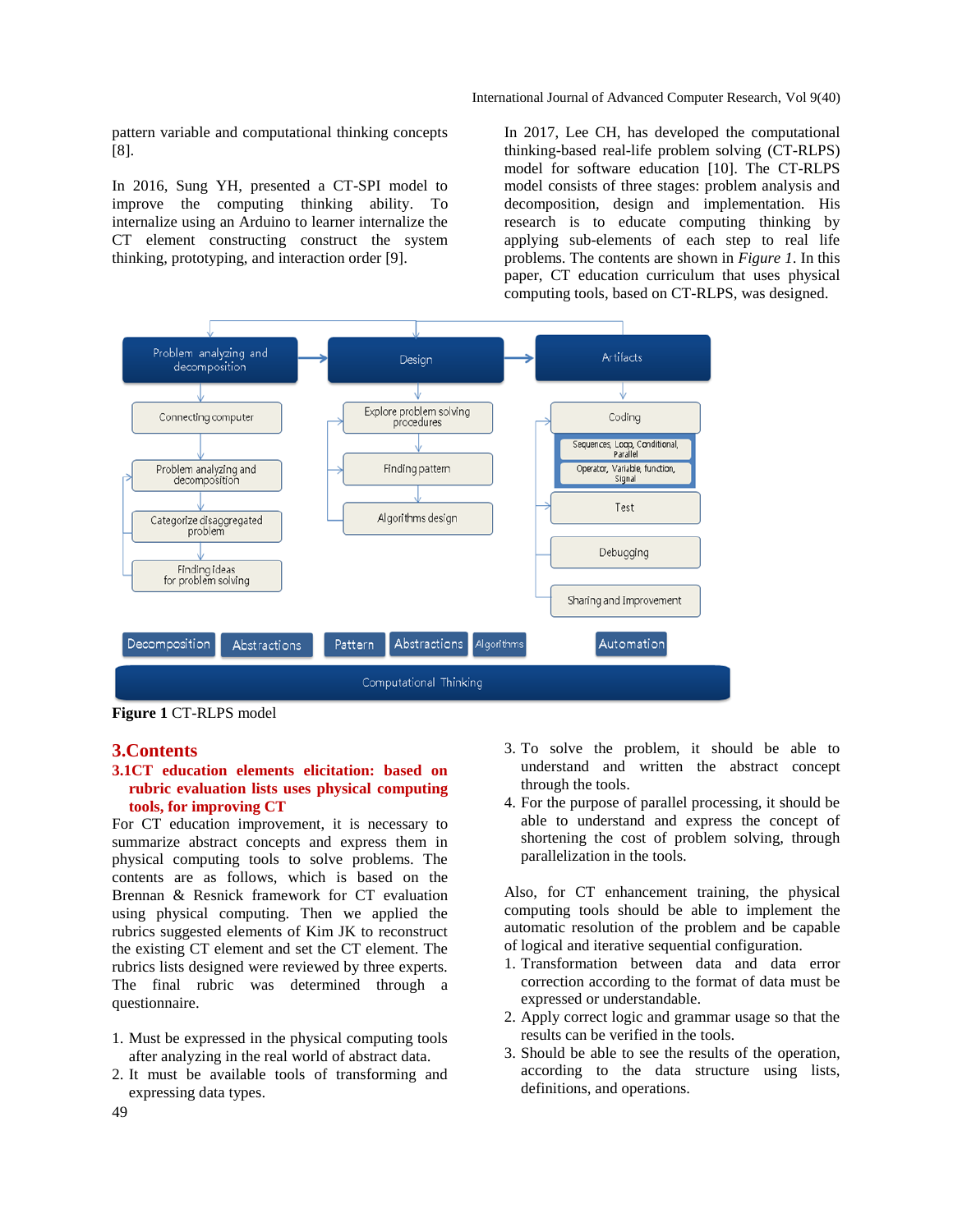pattern variable and computational thinking concepts [8].

In 2016, Sung YH, presented a CT-SPI model to improve the computing thinking ability. To internalize using an Arduino to learner internalize the CT element constructing construct the system thinking, prototyping, and interaction order [9].

In 2017, Lee CH, has developed the computational thinking-based real-life problem solving (CT-RLPS) model for software education [10]. The CT-RLPS model consists of three stages: problem analysis and decomposition, design and implementation. His research is to educate computing thinking by applying sub-elements of each step to real life problems. The contents are shown in *Figure 1*. In this paper, CT education curriculum that uses physical computing tools, based on CT-RLPS, was designed.



**Figure 1** CT-RLPS model

#### **3.Contents**

## **3.1CT education elements elicitation: based on rubric evaluation lists uses physical computing tools, for improving CT**

For CT education improvement, it is necessary to summarize abstract concepts and express them in physical computing tools to solve problems. The contents are as follows, which is based on the Brennan & Resnick framework for CT evaluation using physical computing. Then we applied the rubrics suggested elements of Kim JK to reconstruct the existing CT element and set the CT element. The rubrics lists designed were reviewed by three experts. The final rubric was determined through a questionnaire.

- 1. Must be expressed in the physical computing tools after analyzing in the real world of abstract data.
- 2. It must be available tools of transforming and expressing data types.
- 3. To solve the problem, it should be able to understand and written the abstract concept through the tools.
- 4. For the purpose of parallel processing, it should be able to understand and express the concept of shortening the cost of problem solving, through parallelization in the tools.

Also, for CT enhancement training, the physical computing tools should be able to implement the automatic resolution of the problem and be capable of logical and iterative sequential configuration.

- 1. Transformation between data and data error correction according to the format of data must be expressed or understandable.
- 2. Apply correct logic and grammar usage so that the results can be verified in the tools.
- 3. Should be able to see the results of the operation, according to the data structure using lists, definitions, and operations.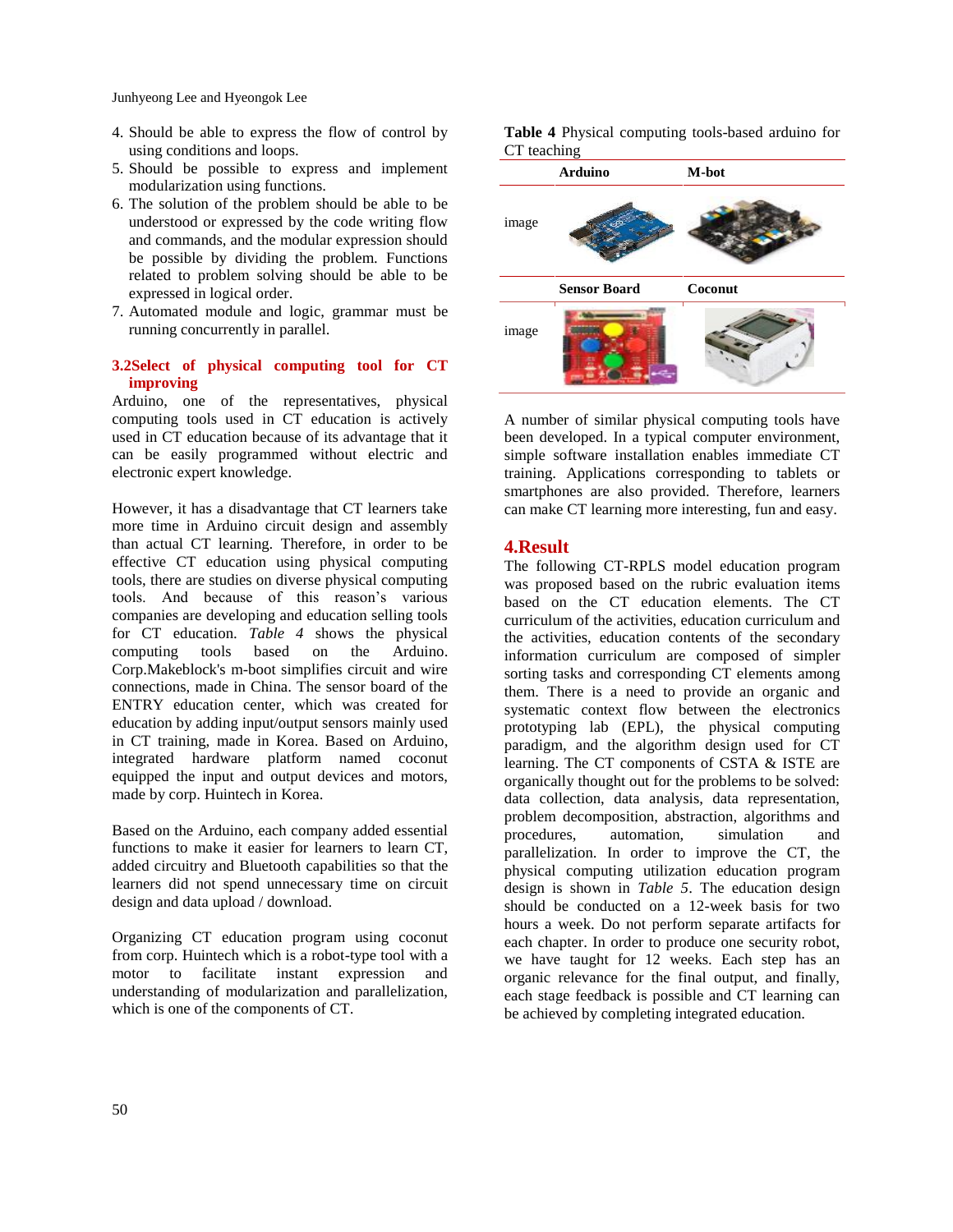Junhyeong Lee and Hyeongok Lee

- 4. Should be able to express the flow of control by using conditions and loops.
- 5. Should be possible to express and implement modularization using functions.
- 6. The solution of the problem should be able to be understood or expressed by the code writing flow and commands, and the modular expression should be possible by dividing the problem. Functions related to problem solving should be able to be expressed in logical order.
- 7. Automated module and logic, grammar must be running concurrently in parallel.

## **3.2Select of physical computing tool for CT improving**

Arduino, one of the representatives, physical computing tools used in CT education is actively used in CT education because of its advantage that it can be easily programmed without electric and electronic expert knowledge.

However, it has a disadvantage that CT learners take more time in Arduino circuit design and assembly than actual CT learning. Therefore, in order to be effective CT education using physical computing tools, there are studies on diverse physical computing tools. And because of this reason's various companies are developing and education selling tools for CT education. *Table 4* shows the physical computing tools based on the Arduino. Corp.Makeblock's m-boot simplifies circuit and wire connections, made in China. The sensor board of the ENTRY education center, which was created for education by adding input/output sensors mainly used in CT training, made in Korea. Based on Arduino, integrated hardware platform named coconut equipped the input and output devices and motors, made by corp. Huintech in Korea.

Based on the Arduino, each company added essential functions to make it easier for learners to learn CT, added circuitry and Bluetooth capabilities so that the learners did not spend unnecessary time on circuit design and data upload / download.

Organizing CT education program using coconut from corp. Huintech which is a robot-type tool with a motor to facilitate instant expression and understanding of modularization and parallelization, which is one of the components of CT.

**Table 4** Physical computing tools-based arduino for CT teaching



A number of similar physical computing tools have been developed. In a typical computer environment, simple software installation enables immediate CT training. Applications corresponding to tablets or smartphones are also provided. Therefore, learners can make CT learning more interesting, fun and easy.

## **4.Result**

The following CT-RPLS model education program was proposed based on the rubric evaluation items based on the CT education elements. The CT curriculum of the activities, education curriculum and the activities, education contents of the secondary information curriculum are composed of simpler sorting tasks and corresponding CT elements among them. There is a need to provide an organic and systematic context flow between the electronics prototyping lab (EPL), the physical computing paradigm, and the algorithm design used for CT learning. The CT components of CSTA & ISTE are organically thought out for the problems to be solved: data collection, data analysis, data representation, problem decomposition, abstraction, algorithms and procedures, automation, simulation and parallelization. In order to improve the CT, the physical computing utilization education program design is shown in *Table 5*. The education design should be conducted on a 12-week basis for two hours a week. Do not perform separate artifacts for each chapter. In order to produce one security robot, we have taught for 12 weeks. Each step has an organic relevance for the final output, and finally, each stage feedback is possible and CT learning can be achieved by completing integrated education.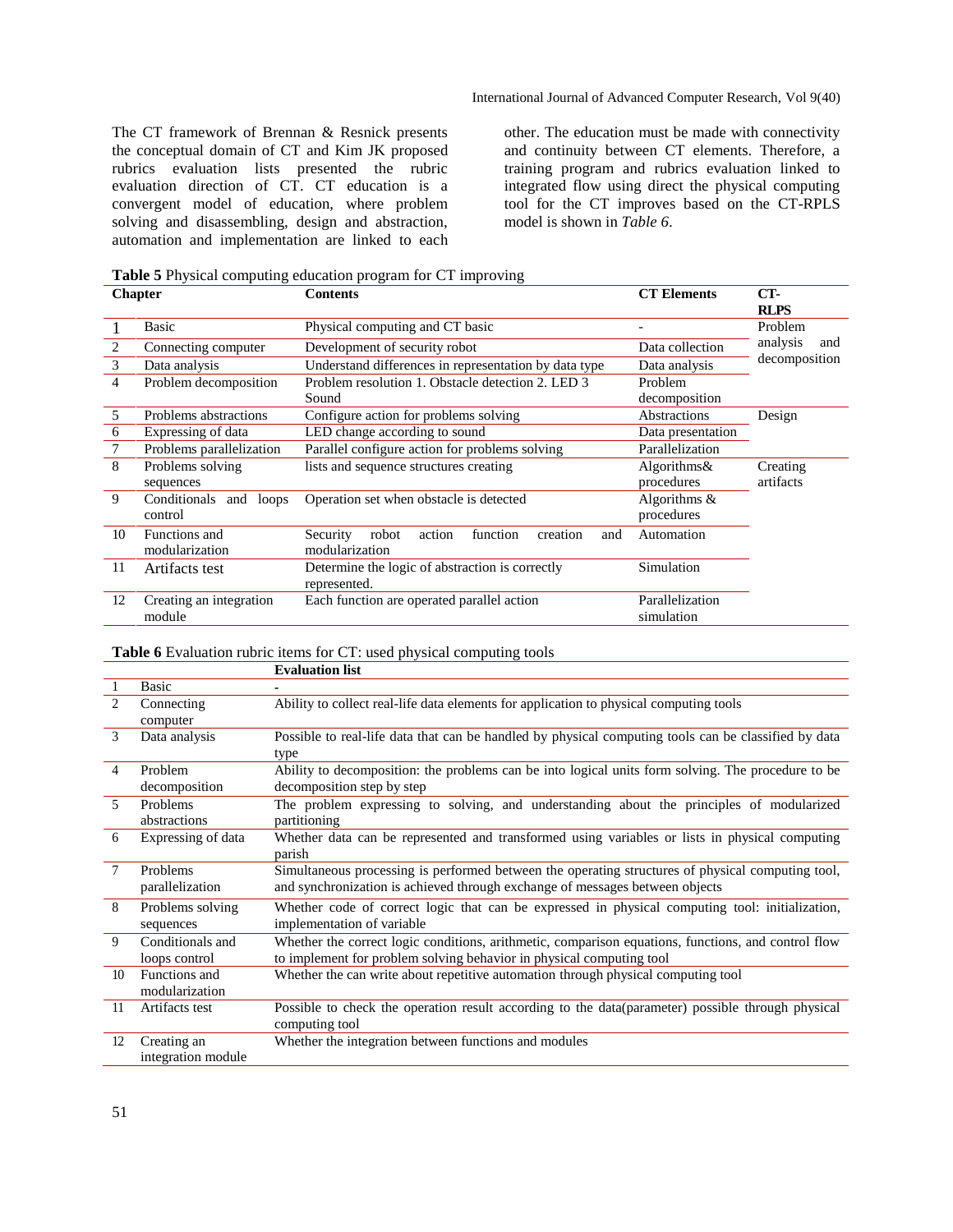The CT framework of Brennan & Resnick presents the conceptual domain of CT and Kim JK proposed rubrics evaluation lists presented the rubric evaluation direction of CT. CT education is a convergent model of education, where problem solving and disassembling, design and abstraction, automation and implementation are linked to each other. The education must be made with connectivity and continuity between CT elements. Therefore, a training program and rubrics evaluation linked to integrated flow using direct the physical computing tool for the CT improves based on the CT-RPLS model is shown in *Table 6*.

**Table 5** Physical computing education program for CT improving

|                | <b>Chapter</b>                       | <b>Contents</b>                                                              | <b>CT Elements</b>            | CT-<br><b>RLPS</b>    |
|----------------|--------------------------------------|------------------------------------------------------------------------------|-------------------------------|-----------------------|
|                | Basic                                | Physical computing and CT basic                                              |                               | Problem               |
| $\overline{2}$ | Connecting computer                  | Development of security robot                                                | Data collection               | analysis<br>and       |
| 3              | Data analysis                        | Understand differences in representation by data type                        | Data analysis                 | decomposition         |
| 4              | Problem decomposition                | Problem resolution 1. Obstacle detection 2. LED 3<br>Sound                   | Problem<br>decomposition      |                       |
| 5              | Problems abstractions                | Configure action for problems solving                                        | Abstractions                  | Design                |
| 6              | Expressing of data                   | LED change according to sound                                                | Data presentation             |                       |
| $\tau$         | Problems parallelization             | Parallel configure action for problems solving                               | Parallelization               |                       |
| 8              | Problems solving<br>sequences        | lists and sequence structures creating                                       | Algorithms $\&$<br>procedures | Creating<br>artifacts |
| 9              | Conditionals and<br>loops<br>control | Operation set when obstacle is detected                                      | Algorithms $\&$<br>procedures |                       |
| 10             | Functions and<br>modularization      | function<br>Security<br>robot<br>action<br>creation<br>and<br>modularization | Automation                    |                       |
| 11             | Artifacts test                       | Determine the logic of abstraction is correctly<br>represented.              | Simulation                    |                       |
| 12             | Creating an integration<br>module    | Each function are operated parallel action                                   | Parallelization<br>simulation |                       |

**Table 6** Evaluation rubric items for CT: used physical computing tools

|                          |                                   | <b>Evaluation list</b>                                                                                                                                                            |
|--------------------------|-----------------------------------|-----------------------------------------------------------------------------------------------------------------------------------------------------------------------------------|
|                          | <b>Basic</b>                      |                                                                                                                                                                                   |
| $\mathfrak{D}$           | Connecting<br>computer            | Ability to collect real-life data elements for application to physical computing tools                                                                                            |
| 3                        | Data analysis                     | Possible to real-life data that can be handled by physical computing tools can be classified by data<br>type                                                                      |
| 4                        | Problem<br>decomposition          | Ability to decomposition: the problems can be into logical units form solving. The procedure to be<br>decomposition step by step                                                  |
| $\overline{\phantom{0}}$ | Problems<br>abstractions          | The problem expressing to solving, and understanding about the principles of modularized<br>partitioning                                                                          |
| 6                        | Expressing of data                | Whether data can be represented and transformed using variables or lists in physical computing<br>parish                                                                          |
| $\tau$                   | Problems<br>parallelization       | Simultaneous processing is performed between the operating structures of physical computing tool,<br>and synchronization is achieved through exchange of messages between objects |
| 8                        | Problems solving<br>sequences     | Whether code of correct logic that can be expressed in physical computing tool: initialization,<br>implementation of variable                                                     |
| $\mathbf{Q}$             | Conditionals and<br>loops control | Whether the correct logic conditions, arithmetic, comparison equations, functions, and control flow<br>to implement for problem solving behavior in physical computing tool       |
| 10 <sup>10</sup>         | Functions and<br>modularization   | Whether the can write about repetitive automation through physical computing tool                                                                                                 |
| 11                       | Artifacts test                    | Possible to check the operation result according to the data (parameter) possible through physical<br>computing tool                                                              |
| 12                       | Creating an<br>integration module | Whether the integration between functions and modules                                                                                                                             |